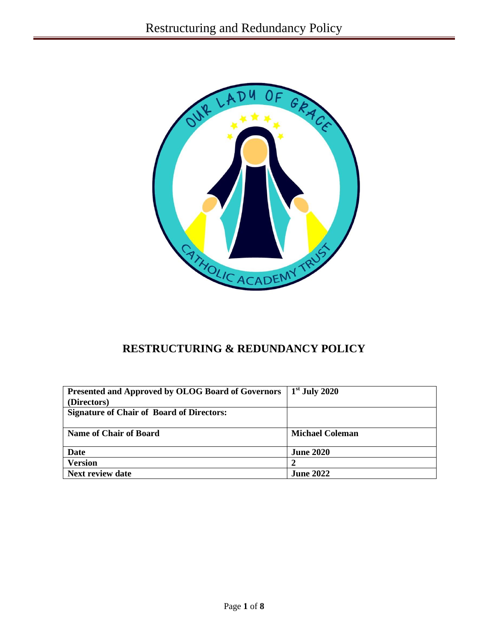

# **RESTRUCTURING & REDUNDANCY POLICY**

| <b>Presented and Approved by OLOG Board of Governors</b> | $1st$ July 2020        |
|----------------------------------------------------------|------------------------|
| (Directors)                                              |                        |
| <b>Signature of Chair of Board of Directors:</b>         |                        |
|                                                          |                        |
| <b>Name of Chair of Board</b>                            | <b>Michael Coleman</b> |
|                                                          |                        |
| Date                                                     | <b>June 2020</b>       |
| <b>Version</b>                                           |                        |
| <b>Next review date</b>                                  | <b>June 2022</b>       |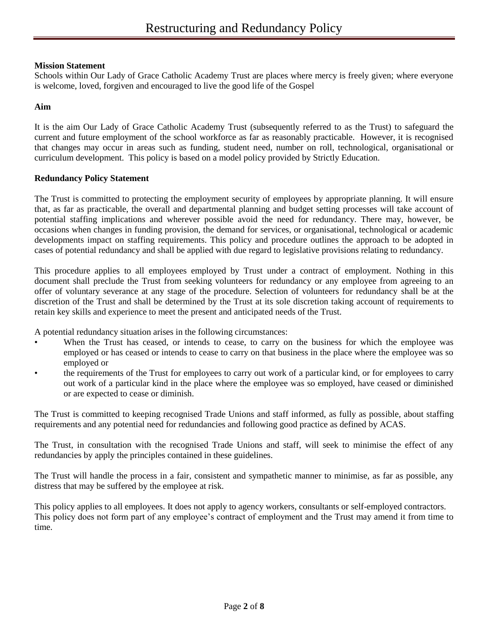## **Mission Statement**

Schools within Our Lady of Grace Catholic Academy Trust are places where mercy is freely given; where everyone is welcome, loved, forgiven and encouraged to live the good life of the Gospel

## **Aim**

It is the aim Our Lady of Grace Catholic Academy Trust (subsequently referred to as the Trust) to safeguard the current and future employment of the school workforce as far as reasonably practicable. However, it is recognised that changes may occur in areas such as funding, student need, number on roll, technological, organisational or curriculum development. This policy is based on a model policy provided by Strictly Education.

## **Redundancy Policy Statement**

The Trust is committed to protecting the employment security of employees by appropriate planning. It will ensure that, as far as practicable, the overall and departmental planning and budget setting processes will take account of potential staffing implications and wherever possible avoid the need for redundancy. There may, however, be occasions when changes in funding provision, the demand for services, or organisational, technological or academic developments impact on staffing requirements. This policy and procedure outlines the approach to be adopted in cases of potential redundancy and shall be applied with due regard to legislative provisions relating to redundancy.

This procedure applies to all employees employed by Trust under a contract of employment. Nothing in this document shall preclude the Trust from seeking volunteers for redundancy or any employee from agreeing to an offer of voluntary severance at any stage of the procedure. Selection of volunteers for redundancy shall be at the discretion of the Trust and shall be determined by the Trust at its sole discretion taking account of requirements to retain key skills and experience to meet the present and anticipated needs of the Trust.

A potential redundancy situation arises in the following circumstances:

- When the Trust has ceased, or intends to cease, to carry on the business for which the employee was employed or has ceased or intends to cease to carry on that business in the place where the employee was so employed or
- the requirements of the Trust for employees to carry out work of a particular kind, or for employees to carry out work of a particular kind in the place where the employee was so employed, have ceased or diminished or are expected to cease or diminish.

The Trust is committed to keeping recognised Trade Unions and staff informed, as fully as possible, about staffing requirements and any potential need for redundancies and following good practice as defined by ACAS.

The Trust, in consultation with the recognised Trade Unions and staff, will seek to minimise the effect of any redundancies by apply the principles contained in these guidelines.

The Trust will handle the process in a fair, consistent and sympathetic manner to minimise, as far as possible, any distress that may be suffered by the employee at risk.

This policy applies to all employees. It does not apply to agency workers, consultants or self-employed contractors. This policy does not form part of any employee's contract of employment and the Trust may amend it from time to time.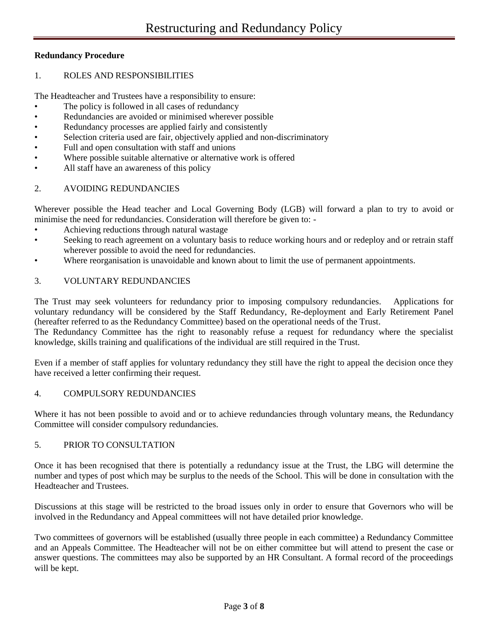# **Redundancy Procedure**

### 1. ROLES AND RESPONSIBILITIES

The Headteacher and Trustees have a responsibility to ensure:

- The policy is followed in all cases of redundancy
- Redundancies are avoided or minimised wherever possible
- Redundancy processes are applied fairly and consistently
- Selection criteria used are fair, objectively applied and non-discriminatory
- Full and open consultation with staff and unions
- Where possible suitable alternative or alternative work is offered
- All staff have an awareness of this policy

## 2. AVOIDING REDUNDANCIES

Wherever possible the Head teacher and Local Governing Body (LGB) will forward a plan to try to avoid or minimise the need for redundancies. Consideration will therefore be given to: -

- Achieving reductions through natural wastage
- Seeking to reach agreement on a voluntary basis to reduce working hours and or redeploy and or retrain staff wherever possible to avoid the need for redundancies.
- Where reorganisation is unavoidable and known about to limit the use of permanent appointments.

## 3. VOLUNTARY REDUNDANCIES

The Trust may seek volunteers for redundancy prior to imposing compulsory redundancies. Applications for voluntary redundancy will be considered by the Staff Redundancy, Re-deployment and Early Retirement Panel (hereafter referred to as the Redundancy Committee) based on the operational needs of the Trust.

The Redundancy Committee has the right to reasonably refuse a request for redundancy where the specialist knowledge, skills training and qualifications of the individual are still required in the Trust.

Even if a member of staff applies for voluntary redundancy they still have the right to appeal the decision once they have received a letter confirming their request.

#### 4. COMPULSORY REDUNDANCIES

Where it has not been possible to avoid and or to achieve redundancies through voluntary means, the Redundancy Committee will consider compulsory redundancies.

#### 5. PRIOR TO CONSULTATION

Once it has been recognised that there is potentially a redundancy issue at the Trust, the LBG will determine the number and types of post which may be surplus to the needs of the School. This will be done in consultation with the Headteacher and Trustees.

Discussions at this stage will be restricted to the broad issues only in order to ensure that Governors who will be involved in the Redundancy and Appeal committees will not have detailed prior knowledge.

Two committees of governors will be established (usually three people in each committee) a Redundancy Committee and an Appeals Committee. The Headteacher will not be on either committee but will attend to present the case or answer questions. The committees may also be supported by an HR Consultant. A formal record of the proceedings will be kept.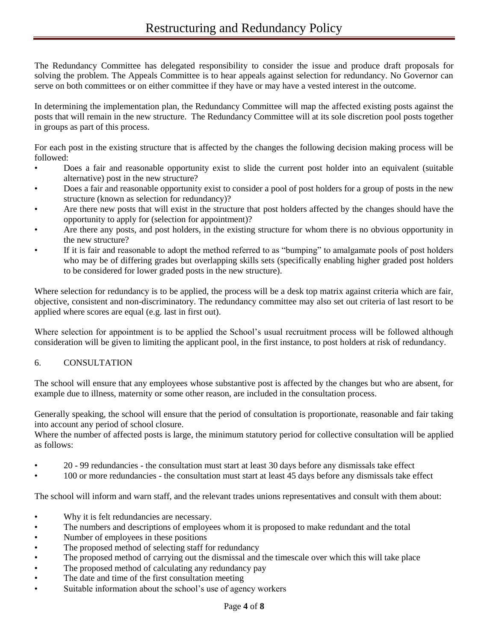The Redundancy Committee has delegated responsibility to consider the issue and produce draft proposals for solving the problem. The Appeals Committee is to hear appeals against selection for redundancy. No Governor can serve on both committees or on either committee if they have or may have a vested interest in the outcome.

In determining the implementation plan, the Redundancy Committee will map the affected existing posts against the posts that will remain in the new structure. The Redundancy Committee will at its sole discretion pool posts together in groups as part of this process.

For each post in the existing structure that is affected by the changes the following decision making process will be followed:

- Does a fair and reasonable opportunity exist to slide the current post holder into an equivalent (suitable alternative) post in the new structure?
- Does a fair and reasonable opportunity exist to consider a pool of post holders for a group of posts in the new structure (known as selection for redundancy)?
- Are there new posts that will exist in the structure that post holders affected by the changes should have the opportunity to apply for (selection for appointment)?
- Are there any posts, and post holders, in the existing structure for whom there is no obvious opportunity in the new structure?
- If it is fair and reasonable to adopt the method referred to as "bumping" to amalgamate pools of post holders who may be of differing grades but overlapping skills sets (specifically enabling higher graded post holders to be considered for lower graded posts in the new structure).

Where selection for redundancy is to be applied, the process will be a desk top matrix against criteria which are fair, objective, consistent and non-discriminatory. The redundancy committee may also set out criteria of last resort to be applied where scores are equal (e.g. last in first out).

Where selection for appointment is to be applied the School's usual recruitment process will be followed although consideration will be given to limiting the applicant pool, in the first instance, to post holders at risk of redundancy.

# 6. CONSULTATION

The school will ensure that any employees whose substantive post is affected by the changes but who are absent, for example due to illness, maternity or some other reason, are included in the consultation process.

Generally speaking, the school will ensure that the period of consultation is proportionate, reasonable and fair taking into account any period of school closure.

Where the number of affected posts is large, the minimum statutory period for collective consultation will be applied as follows:

- 20 99 redundancies the consultation must start at least 30 days before any dismissals take effect
- 100 or more redundancies the consultation must start at least 45 days before any dismissals take effect

The school will inform and warn staff, and the relevant trades unions representatives and consult with them about:

- Why it is felt redundancies are necessary.
- The numbers and descriptions of employees whom it is proposed to make redundant and the total
- Number of employees in these positions
- The proposed method of selecting staff for redundancy
- The proposed method of carrying out the dismissal and the timescale over which this will take place
- The proposed method of calculating any redundancy pay
- The date and time of the first consultation meeting
- Suitable information about the school's use of agency workers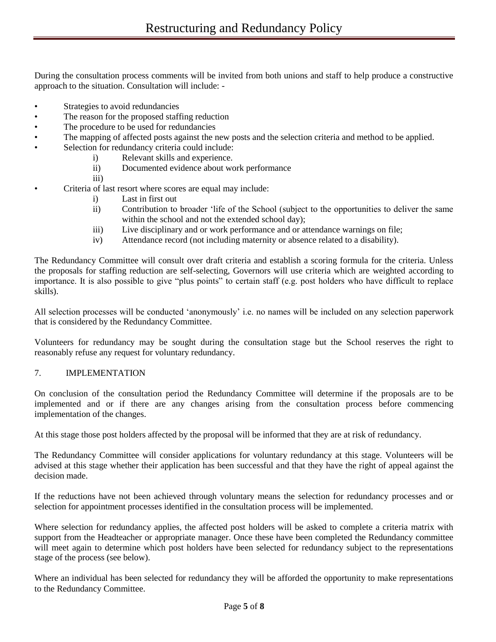During the consultation process comments will be invited from both unions and staff to help produce a constructive approach to the situation. Consultation will include: -

- Strategies to avoid redundancies
- The reason for the proposed staffing reduction
- The procedure to be used for redundancies
- The mapping of affected posts against the new posts and the selection criteria and method to be applied.
- Selection for redundancy criteria could include:
	- i) Relevant skills and experience.
		- ii) Documented evidence about work performance
		- iii)
- Criteria of last resort where scores are equal may include:
	- i) Last in first out
	- ii) Contribution to broader 'life of the School (subject to the opportunities to deliver the same within the school and not the extended school day);
	- iii) Live disciplinary and or work performance and or attendance warnings on file;
	- iv) Attendance record (not including maternity or absence related to a disability).

The Redundancy Committee will consult over draft criteria and establish a scoring formula for the criteria. Unless the proposals for staffing reduction are self-selecting, Governors will use criteria which are weighted according to importance. It is also possible to give "plus points" to certain staff (e.g. post holders who have difficult to replace skills).

All selection processes will be conducted 'anonymously' i.e. no names will be included on any selection paperwork that is considered by the Redundancy Committee.

Volunteers for redundancy may be sought during the consultation stage but the School reserves the right to reasonably refuse any request for voluntary redundancy.

## 7. IMPLEMENTATION

On conclusion of the consultation period the Redundancy Committee will determine if the proposals are to be implemented and or if there are any changes arising from the consultation process before commencing implementation of the changes.

At this stage those post holders affected by the proposal will be informed that they are at risk of redundancy.

The Redundancy Committee will consider applications for voluntary redundancy at this stage. Volunteers will be advised at this stage whether their application has been successful and that they have the right of appeal against the decision made.

If the reductions have not been achieved through voluntary means the selection for redundancy processes and or selection for appointment processes identified in the consultation process will be implemented.

Where selection for redundancy applies, the affected post holders will be asked to complete a criteria matrix with support from the Headteacher or appropriate manager. Once these have been completed the Redundancy committee will meet again to determine which post holders have been selected for redundancy subject to the representations stage of the process (see below).

Where an individual has been selected for redundancy they will be afforded the opportunity to make representations to the Redundancy Committee.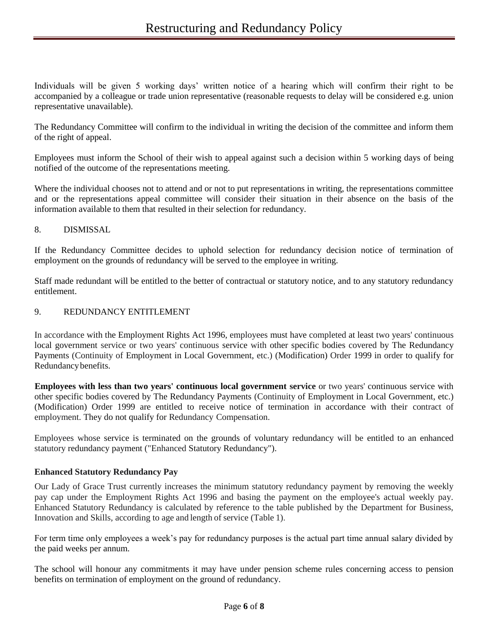Individuals will be given 5 working days' written notice of a hearing which will confirm their right to be accompanied by a colleague or trade union representative (reasonable requests to delay will be considered e.g. union representative unavailable).

The Redundancy Committee will confirm to the individual in writing the decision of the committee and inform them of the right of appeal.

Employees must inform the School of their wish to appeal against such a decision within 5 working days of being notified of the outcome of the representations meeting.

Where the individual chooses not to attend and or not to put representations in writing, the representations committee and or the representations appeal committee will consider their situation in their absence on the basis of the information available to them that resulted in their selection for redundancy.

## 8. DISMISSAL

If the Redundancy Committee decides to uphold selection for redundancy decision notice of termination of employment on the grounds of redundancy will be served to the employee in writing.

Staff made redundant will be entitled to the better of contractual or statutory notice, and to any statutory redundancy entitlement.

## 9. REDUNDANCY ENTITLEMENT

In accordance with the Employment Rights Act 1996, employees must have completed at least two years' continuous local government service or two years' continuous service with other specific bodies covered by The Redundancy Payments (Continuity of Employment in Local Government, etc.) (Modification) Order 1999 in order to qualify for Redundancybenefits.

**Employees with less than two years' continuous local government service** or two years' continuous service with other specific bodies covered by The Redundancy Payments (Continuity of Employment in Local Government, etc.) (Modification) Order 1999 are entitled to receive notice of termination in accordance with their contract of employment. They do not qualify for Redundancy Compensation.

Employees whose service is terminated on the grounds of voluntary redundancy will be entitled to an enhanced statutory redundancy payment ("Enhanced Statutory Redundancy").

## **Enhanced Statutory Redundancy Pay**

Our Lady of Grace Trust currently increases the minimum statutory redundancy payment by removing the weekly pay cap under the Employment Rights Act 1996 and basing the payment on the employee's actual weekly pay. Enhanced Statutory Redundancy is calculated by reference to the table published by the Department for Business, Innovation and Skills, according to age and length of service (Table 1).

For term time only employees a week's pay for redundancy purposes is the actual part time annual salary divided by the paid weeks per annum.

The school will honour any commitments it may have under pension scheme rules concerning access to pension benefits on termination of employment on the ground of redundancy.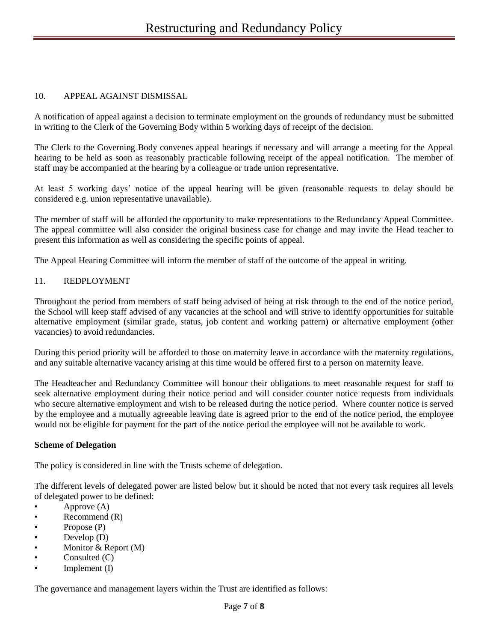# 10. APPEAL AGAINST DISMISSAL

A notification of appeal against a decision to terminate employment on the grounds of redundancy must be submitted in writing to the Clerk of the Governing Body within 5 working days of receipt of the decision.

The Clerk to the Governing Body convenes appeal hearings if necessary and will arrange a meeting for the Appeal hearing to be held as soon as reasonably practicable following receipt of the appeal notification. The member of staff may be accompanied at the hearing by a colleague or trade union representative.

At least 5 working days' notice of the appeal hearing will be given (reasonable requests to delay should be considered e.g. union representative unavailable).

The member of staff will be afforded the opportunity to make representations to the Redundancy Appeal Committee. The appeal committee will also consider the original business case for change and may invite the Head teacher to present this information as well as considering the specific points of appeal.

The Appeal Hearing Committee will inform the member of staff of the outcome of the appeal in writing.

## 11. REDPLOYMENT

Throughout the period from members of staff being advised of being at risk through to the end of the notice period, the School will keep staff advised of any vacancies at the school and will strive to identify opportunities for suitable alternative employment (similar grade, status, job content and working pattern) or alternative employment (other vacancies) to avoid redundancies.

During this period priority will be afforded to those on maternity leave in accordance with the maternity regulations, and any suitable alternative vacancy arising at this time would be offered first to a person on maternity leave.

The Headteacher and Redundancy Committee will honour their obligations to meet reasonable request for staff to seek alternative employment during their notice period and will consider counter notice requests from individuals who secure alternative employment and wish to be released during the notice period. Where counter notice is served by the employee and a mutually agreeable leaving date is agreed prior to the end of the notice period, the employee would not be eligible for payment for the part of the notice period the employee will not be available to work.

#### **Scheme of Delegation**

The policy is considered in line with the Trusts scheme of delegation.

The different levels of delegated power are listed below but it should be noted that not every task requires all levels of delegated power to be defined:

- Approve (A)
- Recommend (R)
- Propose (P)
- Develop (D)
- Monitor & Report (M)
- Consulted (C)
- Implement (I)

The governance and management layers within the Trust are identified as follows: